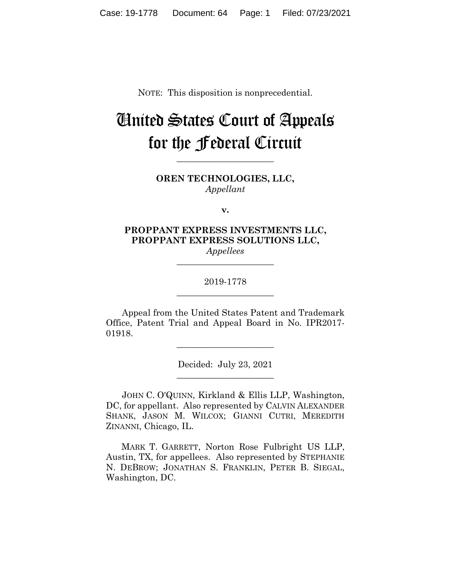NOTE: This disposition is nonprecedential.

# United States Court of Appeals for the Federal Circuit

**OREN TECHNOLOGIES, LLC,** *Appellant*

**\_\_\_\_\_\_\_\_\_\_\_\_\_\_\_\_\_\_\_\_\_\_** 

**v.**

**PROPPANT EXPRESS INVESTMENTS LLC, PROPPANT EXPRESS SOLUTIONS LLC,** *Appellees*

**\_\_\_\_\_\_\_\_\_\_\_\_\_\_\_\_\_\_\_\_\_\_** 

## 2019-1778 **\_\_\_\_\_\_\_\_\_\_\_\_\_\_\_\_\_\_\_\_\_\_**

Appeal from the United States Patent and Trademark Office, Patent Trial and Appeal Board in No. IPR2017- 01918.

\_\_\_\_\_\_\_\_\_\_\_\_\_\_\_\_\_\_\_\_\_\_

Decided: July 23, 2021 \_\_\_\_\_\_\_\_\_\_\_\_\_\_\_\_\_\_\_\_\_\_

JOHN C. O'QUINN, Kirkland & Ellis LLP, Washington, DC, for appellant. Also represented by CALVIN ALEXANDER SHANK, JASON M. WILCOX; GIANNI CUTRI, MEREDITH ZINANNI, Chicago, IL.

 MARK T. GARRETT, Norton Rose Fulbright US LLP, Austin, TX, for appellees. Also represented by STEPHANIE N. DEBROW; JONATHAN S. FRANKLIN, PETER B. SIEGAL, Washington, DC.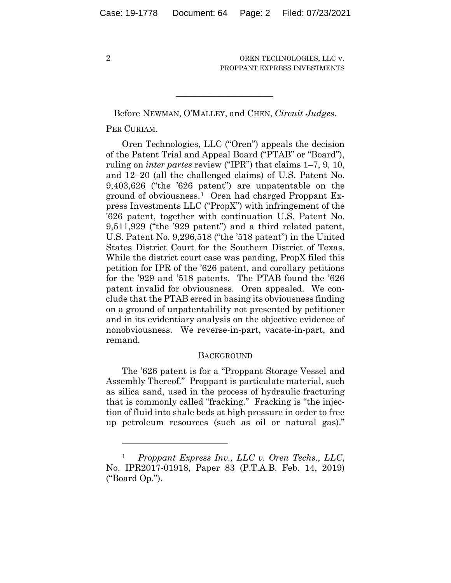Before NEWMAN, O'MALLEY, and CHEN, *Circuit Judges*.

 $\mathcal{L}_\text{max}$  and  $\mathcal{L}_\text{max}$  and  $\mathcal{L}_\text{max}$  and  $\mathcal{L}_\text{max}$ 

## PER CURIAM.

Oren Technologies, LLC ("Oren") appeals the decision of the Patent Trial and Appeal Board ("PTAB" or "Board"), ruling on *inter partes* review ("IPR") that claims 1–7, 9, 10, and 12–20 (all the challenged claims) of U.S. Patent No. 9,403,626 ("the '626 patent") are unpatentable on the ground of obviousness.1 Oren had charged Proppant Express Investments LLC ("PropX") with infringement of the '626 patent, together with continuation U.S. Patent No. 9,511,929 ("the '929 patent") and a third related patent, U.S. Patent No. 9,296,518 ("the '518 patent") in the United States District Court for the Southern District of Texas. While the district court case was pending, PropX filed this petition for IPR of the '626 patent, and corollary petitions for the '929 and '518 patents. The PTAB found the '626 patent invalid for obviousness. Oren appealed. We conclude that the PTAB erred in basing its obviousness finding on a ground of unpatentability not presented by petitioner and in its evidentiary analysis on the objective evidence of nonobviousness. We reverse-in-part, vacate-in-part, and remand.

#### **BACKGROUND**

The '626 patent is for a "Proppant Storage Vessel and Assembly Thereof." Proppant is particulate material, such as silica sand, used in the process of hydraulic fracturing that is commonly called "fracking." Fracking is "the injection of fluid into shale beds at high pressure in order to free up petroleum resources (such as oil or natural gas)."

<sup>1</sup> *Proppant Express Inv., LLC v. Oren Techs., LLC*, No. IPR2017-01918, Paper 83 (P.T.A.B. Feb. 14, 2019) ("Board Op.").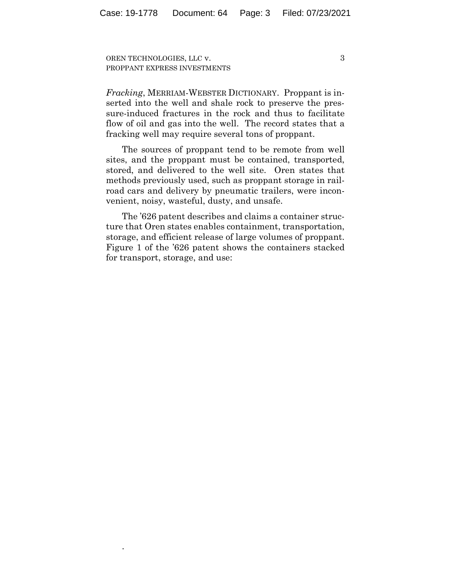.

3

*Fracking*, MERRIAM-WEBSTER DICTIONARY. Proppant is inserted into the well and shale rock to preserve the pressure-induced fractures in the rock and thus to facilitate flow of oil and gas into the well. The record states that a fracking well may require several tons of proppant.

The sources of proppant tend to be remote from well sites, and the proppant must be contained, transported, stored, and delivered to the well site. Oren states that methods previously used, such as proppant storage in railroad cars and delivery by pneumatic trailers, were inconvenient, noisy, wasteful, dusty, and unsafe.

The '626 patent describes and claims a container structure that Oren states enables containment, transportation, storage, and efficient release of large volumes of proppant. Figure 1 of the '626 patent shows the containers stacked for transport, storage, and use: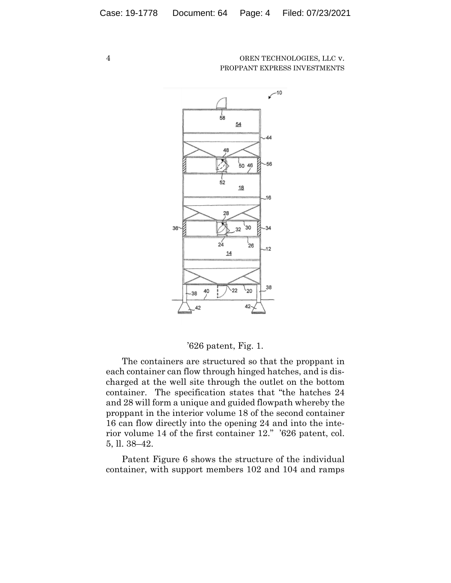

## '626 patent, Fig. 1.

The containers are structured so that the proppant in each container can flow through hinged hatches, and is discharged at the well site through the outlet on the bottom container. The specification states that "the hatches 24 and 28 will form a unique and guided flowpath whereby the proppant in the interior volume 18 of the second container 16 can flow directly into the opening 24 and into the interior volume 14 of the first container 12." '626 patent, col. 5, ll. 38–42.

Patent Figure 6 shows the structure of the individual container, with support members 102 and 104 and ramps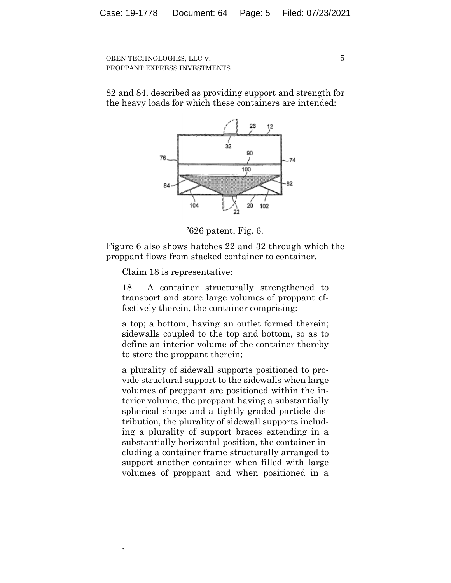82 and 84, described as providing support and strength for the heavy loads for which these containers are intended:



'626 patent, Fig. 6.

Figure 6 also shows hatches 22 and 32 through which the proppant flows from stacked container to container.

Claim 18 is representative:

.

18. A container structurally strengthened to transport and store large volumes of proppant effectively therein, the container comprising:

a top; a bottom, having an outlet formed therein; sidewalls coupled to the top and bottom, so as to define an interior volume of the container thereby to store the proppant therein;

a plurality of sidewall supports positioned to provide structural support to the sidewalls when large volumes of proppant are positioned within the interior volume, the proppant having a substantially spherical shape and a tightly graded particle distribution, the plurality of sidewall supports including a plurality of support braces extending in a substantially horizontal position, the container including a container frame structurally arranged to support another container when filled with large volumes of proppant and when positioned in a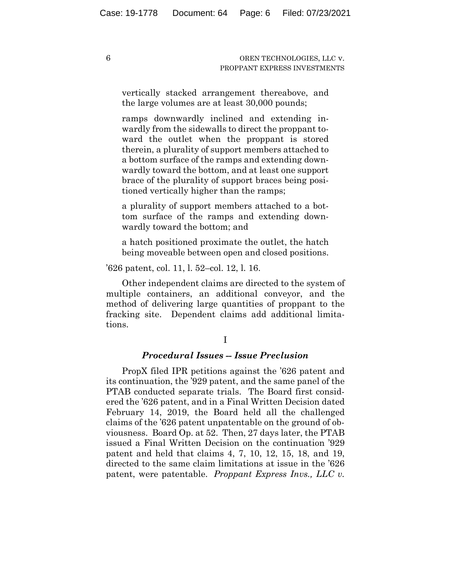vertically stacked arrangement thereabove, and the large volumes are at least 30,000 pounds;

ramps downwardly inclined and extending inwardly from the sidewalls to direct the proppant toward the outlet when the proppant is stored therein, a plurality of support members attached to a bottom surface of the ramps and extending downwardly toward the bottom, and at least one support brace of the plurality of support braces being positioned vertically higher than the ramps;

a plurality of support members attached to a bottom surface of the ramps and extending downwardly toward the bottom; and

a hatch positioned proximate the outlet, the hatch being moveable between open and closed positions.

'626 patent, col. 11, l. 52–col. 12, l. 16.

Other independent claims are directed to the system of multiple containers, an additional conveyor, and the method of delivering large quantities of proppant to the fracking site. Dependent claims add additional limitations.

#### *Procedural Issues -- Issue Preclusion*

PropX filed IPR petitions against the '626 patent and its continuation, the '929 patent, and the same panel of the PTAB conducted separate trials. The Board first considered the '626 patent, and in a Final Written Decision dated February 14, 2019, the Board held all the challenged claims of the '626 patent unpatentable on the ground of obviousness. Board Op. at 52. Then, 27 days later, the PTAB issued a Final Written Decision on the continuation '929 patent and held that claims 4, 7, 10, 12, 15, 18, and 19, directed to the same claim limitations at issue in the '626 patent, were patentable. *Proppant Express Invs., LLC v.*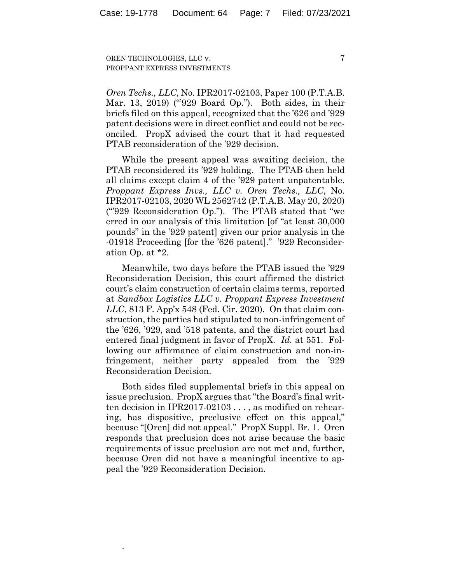7

*Oren Techs., LLC*, No. IPR2017-02103, Paper 100 (P.T.A.B. Mar. 13, 2019) ("929 Board Op."). Both sides, in their briefs filed on this appeal, recognized that the '626 and '929 patent decisions were in direct conflict and could not be reconciled. PropX advised the court that it had requested PTAB reconsideration of the '929 decision.

While the present appeal was awaiting decision, the PTAB reconsidered its '929 holding. The PTAB then held all claims except claim 4 of the '929 patent unpatentable. *Proppant Express Invs., LLC v. Oren Techs., LLC*, No. IPR2017-02103, 2020 WL 2562742 (P.T.A.B. May 20, 2020) ("'929 Reconsideration Op."). The PTAB stated that "we erred in our analysis of this limitation [of "at least 30,000 pounds" in the '929 patent] given our prior analysis in the -01918 Proceeding [for the '626 patent]." '929 Reconsideration Op. at \*2.

Meanwhile, two days before the PTAB issued the '929 Reconsideration Decision, this court affirmed the district court's claim construction of certain claims terms, reported at *Sandbox Logistics LLC v. Proppant Express Investment LLC*, 813 F. App'x 548 (Fed. Cir. 2020). On that claim construction, the parties had stipulated to non-infringement of the '626, '929, and '518 patents, and the district court had entered final judgment in favor of PropX. *Id.* at 551. Following our affirmance of claim construction and non-infringement, neither party appealed from the '929 Reconsideration Decision.

Both sides filed supplemental briefs in this appeal on issue preclusion. PropX argues that "the Board's final written decision in IPR2017-02103 . . . , as modified on rehearing, has dispositive, preclusive effect on this appeal," because "[Oren] did not appeal." PropX Suppl. Br. 1. Oren responds that preclusion does not arise because the basic requirements of issue preclusion are not met and, further, because Oren did not have a meaningful incentive to appeal the '929 Reconsideration Decision.

.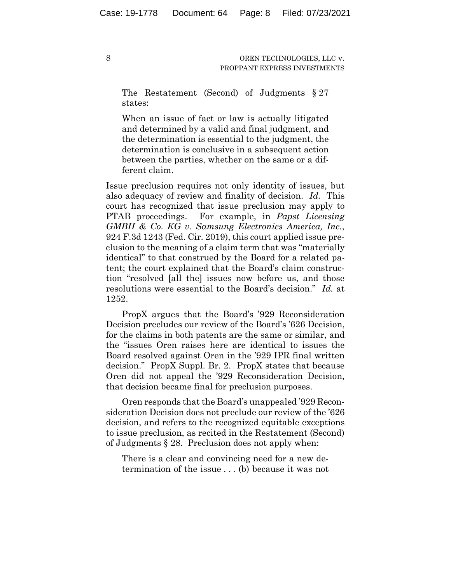The Restatement (Second) of Judgments § 27 states:

When an issue of fact or law is actually litigated and determined by a valid and final judgment, and the determination is essential to the judgment, the determination is conclusive in a subsequent action between the parties, whether on the same or a different claim.

Issue preclusion requires not only identity of issues, but also adequacy of review and finality of decision. *Id.* This court has recognized that issue preclusion may apply to PTAB proceedings. For example, in *Papst Licensing GMBH & Co. KG v. Samsung Electronics America, Inc.*, 924 F.3d 1243 (Fed. Cir. 2019), this court applied issue preclusion to the meaning of a claim term that was "materially identical" to that construed by the Board for a related patent; the court explained that the Board's claim construction "resolved [all the] issues now before us, and those resolutions were essential to the Board's decision." *Id.* at 1252.

PropX argues that the Board's '929 Reconsideration Decision precludes our review of the Board's '626 Decision, for the claims in both patents are the same or similar, and the "issues Oren raises here are identical to issues the Board resolved against Oren in the '929 IPR final written decision." PropX Suppl. Br. 2. PropX states that because Oren did not appeal the '929 Reconsideration Decision, that decision became final for preclusion purposes.

Oren responds that the Board's unappealed '929 Reconsideration Decision does not preclude our review of the '626 decision, and refers to the recognized equitable exceptions to issue preclusion, as recited in the Restatement (Second) of Judgments § 28. Preclusion does not apply when:

There is a clear and convincing need for a new determination of the issue . . . (b) because it was not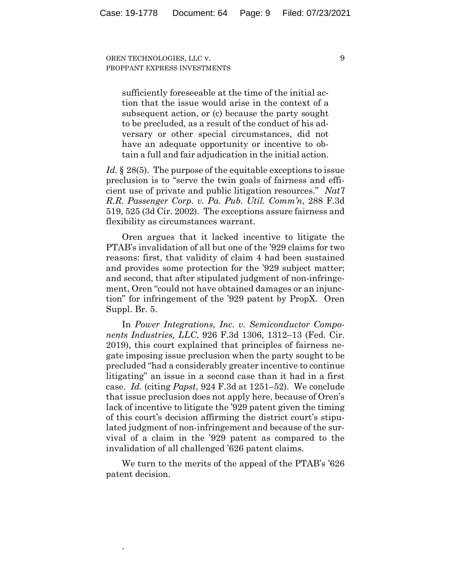> sufficiently foreseeable at the time of the initial action that the issue would arise in the context of a subsequent action, or (c) because the party sought to be precluded, as a result of the conduct of his adversary or other special circumstances, did not have an adequate opportunity or incentive to obtain a full and fair adjudication in the initial action.

*Id.* § 28(5). The purpose of the equitable exceptions to issue preclusion is to "serve the twin goals of fairness and efficient use of private and public litigation resources." *Nat'l R.R. Passenger Corp. v. Pa. Pub. Util. Comm'n*, 288 F.3d 519, 525 (3d Cir. 2002). The exceptions assure fairness and flexibility as circumstances warrant.

Oren argues that it lacked incentive to litigate the PTAB's invalidation of all but one of the '929 claims for two reasons: first, that validity of claim 4 had been sustained and provides some protection for the '929 subject matter; and second, that after stipulated judgment of non-infringement, Oren "could not have obtained damages or an injunction" for infringement of the '929 patent by PropX. Oren Suppl. Br. 5.

In *Power Integrations, Inc. v. Semiconductor Components Industries, LLC*, 926 F.3d 1306, 1312–13 (Fed. Cir. 2019), this court explained that principles of fairness negate imposing issue preclusion when the party sought to be precluded "had a considerably greater incentive to continue litigating" an issue in a second case than it had in a first case. *Id.* (citing *Papst*, 924 F.3d at 1251–52). We conclude that issue preclusion does not apply here, because of Oren's lack of incentive to litigate the '929 patent given the timing of this court's decision affirming the district court's stipulated judgment of non-infringement and because of the survival of a claim in the '929 patent as compared to the invalidation of all challenged '626 patent claims.

We turn to the merits of the appeal of the PTAB's '626 patent decision.

.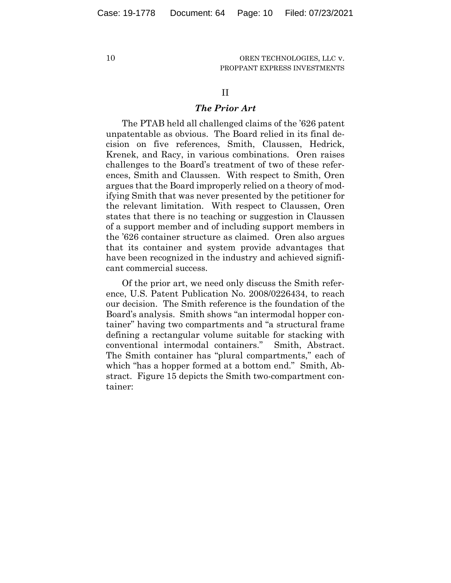#### II

## *The Prior Art*

The PTAB held all challenged claims of the '626 patent unpatentable as obvious. The Board relied in its final decision on five references, Smith, Claussen, Hedrick, Krenek, and Racy, in various combinations. Oren raises challenges to the Board's treatment of two of these references, Smith and Claussen. With respect to Smith, Oren argues that the Board improperly relied on a theory of modifying Smith that was never presented by the petitioner for the relevant limitation. With respect to Claussen, Oren states that there is no teaching or suggestion in Claussen of a support member and of including support members in the '626 container structure as claimed. Oren also argues that its container and system provide advantages that have been recognized in the industry and achieved significant commercial success.

Of the prior art, we need only discuss the Smith reference, U.S. Patent Publication No. 2008/0226434, to reach our decision. The Smith reference is the foundation of the Board's analysis. Smith shows "an intermodal hopper container" having two compartments and "a structural frame defining a rectangular volume suitable for stacking with conventional intermodal containers." Smith, Abstract. The Smith container has "plural compartments," each of which "has a hopper formed at a bottom end." Smith, Abstract. Figure 15 depicts the Smith two-compartment container: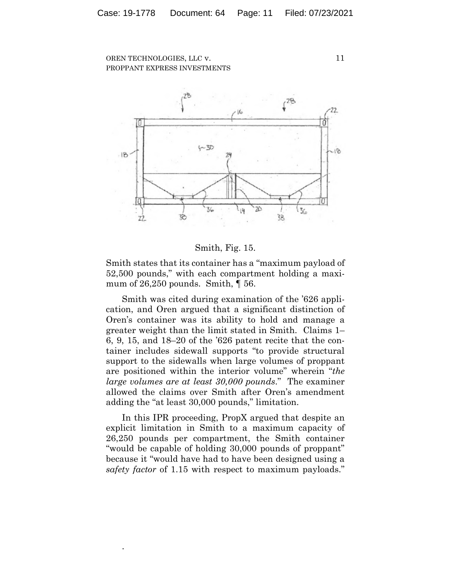

#### Smith, Fig. 15.

Smith states that its container has a "maximum payload of 52,500 pounds," with each compartment holding a maximum of  $26,250$  pounds. Smith,  $\P$  56.

Smith was cited during examination of the '626 application, and Oren argued that a significant distinction of Oren's container was its ability to hold and manage a greater weight than the limit stated in Smith. Claims 1– 6, 9, 15, and 18–20 of the '626 patent recite that the container includes sidewall supports "to provide structural support to the sidewalls when large volumes of proppant are positioned within the interior volume" wherein "*the large volumes are at least 30,000 pounds*." The examiner allowed the claims over Smith after Oren's amendment adding the "at least 30,000 pounds," limitation.

In this IPR proceeding, PropX argued that despite an explicit limitation in Smith to a maximum capacity of 26,250 pounds per compartment, the Smith container "would be capable of holding 30,000 pounds of proppant" because it "would have had to have been designed using a *safety factor* of 1.15 with respect to maximum payloads."

.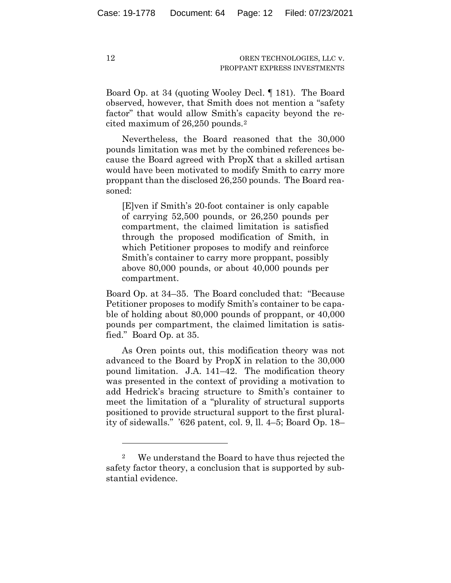Board Op. at 34 (quoting Wooley Decl. ¶ 181). The Board observed, however, that Smith does not mention a "safety factor" that would allow Smith's capacity beyond the recited maximum of 26,250 pounds.2

Nevertheless, the Board reasoned that the 30,000 pounds limitation was met by the combined references because the Board agreed with PropX that a skilled artisan would have been motivated to modify Smith to carry more proppant than the disclosed 26,250 pounds. The Board reasoned:

[E]ven if Smith's 20-foot container is only capable of carrying 52,500 pounds, or 26,250 pounds per compartment, the claimed limitation is satisfied through the proposed modification of Smith, in which Petitioner proposes to modify and reinforce Smith's container to carry more proppant, possibly above 80,000 pounds, or about 40,000 pounds per compartment.

Board Op. at 34–35. The Board concluded that: "Because Petitioner proposes to modify Smith's container to be capable of holding about 80,000 pounds of proppant, or 40,000 pounds per compartment, the claimed limitation is satisfied." Board Op. at 35.

As Oren points out, this modification theory was not advanced to the Board by PropX in relation to the 30,000 pound limitation. J.A. 141–42. The modification theory was presented in the context of providing a motivation to add Hedrick's bracing structure to Smith's container to meet the limitation of a "plurality of structural supports positioned to provide structural support to the first plurality of sidewalls." '626 patent, col. 9, ll. 4–5; Board Op. 18–

<sup>2</sup> We understand the Board to have thus rejected the safety factor theory, a conclusion that is supported by substantial evidence.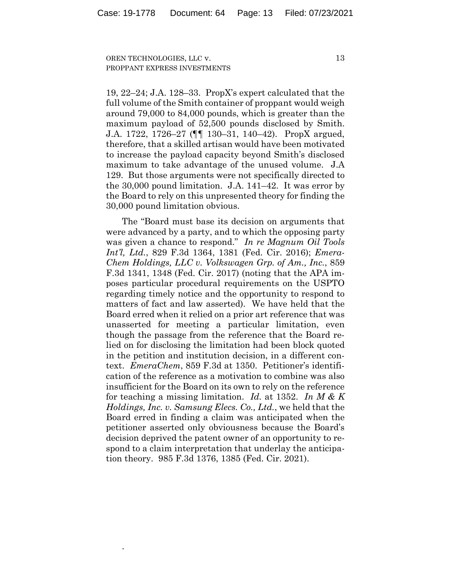.

19, 22–24; J.A. 128–33. PropX's expert calculated that the full volume of the Smith container of proppant would weigh around 79,000 to 84,000 pounds, which is greater than the maximum payload of 52,500 pounds disclosed by Smith. J.A. 1722, 1726–27 (¶¶ 130–31, 140–42). PropX argued, therefore, that a skilled artisan would have been motivated to increase the payload capacity beyond Smith's disclosed maximum to take advantage of the unused volume. J.A 129. But those arguments were not specifically directed to the 30,000 pound limitation. J.A. 141–42. It was error by the Board to rely on this unpresented theory for finding the 30,000 pound limitation obvious.

The "Board must base its decision on arguments that were advanced by a party, and to which the opposing party was given a chance to respond." *In re Magnum Oil Tools Int'l, Ltd.*, 829 F.3d 1364, 1381 (Fed. Cir. 2016); *Emera-Chem Holdings, LLC v. Volkswagen Grp. of Am., Inc.*, 859 F.3d 1341, 1348 (Fed. Cir. 2017) (noting that the APA imposes particular procedural requirements on the USPTO regarding timely notice and the opportunity to respond to matters of fact and law asserted). We have held that the Board erred when it relied on a prior art reference that was unasserted for meeting a particular limitation, even though the passage from the reference that the Board relied on for disclosing the limitation had been block quoted in the petition and institution decision, in a different context. *EmeraChem*, 859 F.3d at 1350. Petitioner's identification of the reference as a motivation to combine was also insufficient for the Board on its own to rely on the reference for teaching a missing limitation. *Id.* at 1352. *In M & K Holdings, Inc. v. Samsung Elecs. Co., Ltd.*, we held that the Board erred in finding a claim was anticipated when the petitioner asserted only obviousness because the Board's decision deprived the patent owner of an opportunity to respond to a claim interpretation that underlay the anticipation theory. 985 F.3d 1376, 1385 (Fed. Cir. 2021).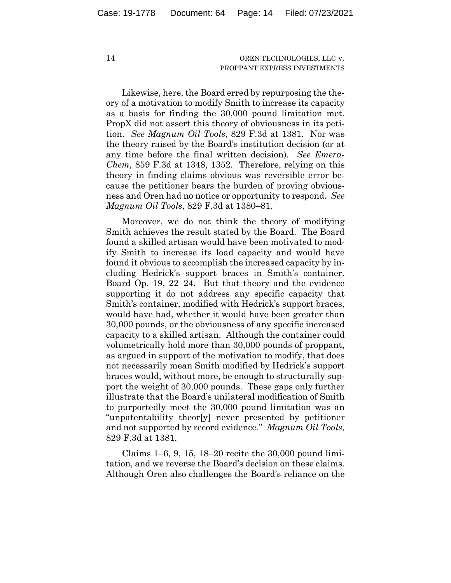Likewise, here, the Board erred by repurposing the theory of a motivation to modify Smith to increase its capacity as a basis for finding the 30,000 pound limitation met. PropX did not assert this theory of obviousness in its petition. *See Magnum Oil Tools*, 829 F.3d at 1381. Nor was the theory raised by the Board's institution decision (or at any time before the final written decision). *See Emera-Chem*, 859 F.3d at 1348, 1352. Therefore, relying on this theory in finding claims obvious was reversible error because the petitioner bears the burden of proving obviousness and Oren had no notice or opportunity to respond. *See Magnum Oil Tools*, 829 F.3d at 1380–81.

Moreover, we do not think the theory of modifying Smith achieves the result stated by the Board. The Board found a skilled artisan would have been motivated to modify Smith to increase its load capacity and would have found it obvious to accomplish the increased capacity by including Hedrick's support braces in Smith's container. Board Op. 19, 22–24. But that theory and the evidence supporting it do not address any specific capacity that Smith's container, modified with Hedrick's support braces, would have had, whether it would have been greater than 30,000 pounds, or the obviousness of any specific increased capacity to a skilled artisan. Although the container could volumetrically hold more than 30,000 pounds of proppant, as argued in support of the motivation to modify, that does not necessarily mean Smith modified by Hedrick's support braces would, without more, be enough to structurally support the weight of 30,000 pounds. These gaps only further illustrate that the Board's unilateral modification of Smith to purportedly meet the 30,000 pound limitation was an "unpatentability theor[y] never presented by petitioner and not supported by record evidence." *Magnum Oil Tools*, 829 F.3d at 1381.

Claims 1–6, 9, 15, 18–20 recite the 30,000 pound limitation, and we reverse the Board's decision on these claims. Although Oren also challenges the Board's reliance on the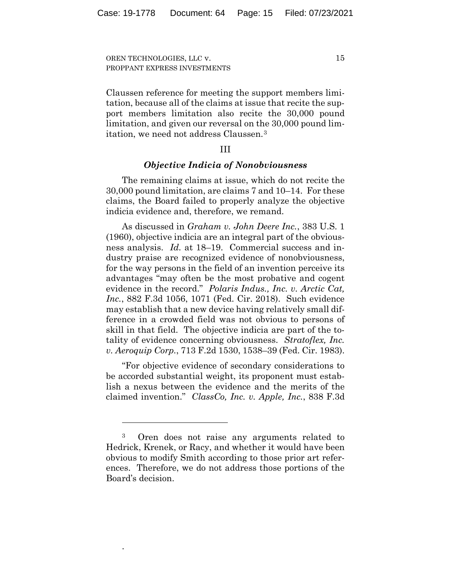Claussen reference for meeting the support members limitation, because all of the claims at issue that recite the support members limitation also recite the 30,000 pound limitation, and given our reversal on the 30,000 pound limitation, we need not address Claussen.3

## III

#### *Objective Indicia of Nonobviousness*

The remaining claims at issue, which do not recite the 30,000 pound limitation, are claims 7 and 10–14. For these claims, the Board failed to properly analyze the objective indicia evidence and, therefore, we remand.

As discussed in *Graham v. John Deere Inc.*, 383 U.S. 1 (1960), objective indicia are an integral part of the obviousness analysis. *Id.* at 18–19. Commercial success and industry praise are recognized evidence of nonobviousness, for the way persons in the field of an invention perceive its advantages "may often be the most probative and cogent evidence in the record." *Polaris Indus., Inc. v. Arctic Cat, Inc.*, 882 F.3d 1056, 1071 (Fed. Cir. 2018). Such evidence may establish that a new device having relatively small difference in a crowded field was not obvious to persons of skill in that field. The objective indicia are part of the totality of evidence concerning obviousness. *Stratoflex, Inc. v. Aeroquip Corp.*, 713 F.2d 1530, 1538–39 (Fed. Cir. 1983).

"For objective evidence of secondary considerations to be accorded substantial weight, its proponent must establish a nexus between the evidence and the merits of the claimed invention." *ClassCo, Inc. v. Apple, Inc.*, 838 F.3d

.

<sup>3</sup> Oren does not raise any arguments related to Hedrick, Krenek, or Racy, and whether it would have been obvious to modify Smith according to those prior art references. Therefore, we do not address those portions of the Board's decision.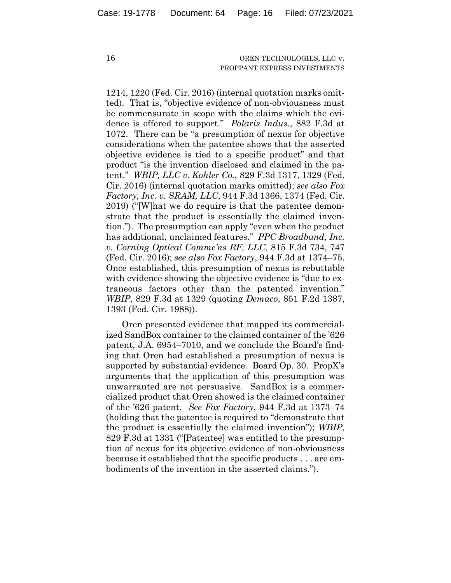1214, 1220 (Fed. Cir. 2016) (internal quotation marks omitted). That is, "objective evidence of non-obviousness must be commensurate in scope with the claims which the evidence is offered to support." *Polaris Indus.*, 882 F.3d at 1072. There can be "a presumption of nexus for objective considerations when the patentee shows that the asserted objective evidence is tied to a specific product" and that product "is the invention disclosed and claimed in the patent." *WBIP, LLC v. Kohler Co.*, 829 F.3d 1317, 1329 (Fed. Cir. 2016) (internal quotation marks omitted); *see also Fox Factory, Inc. v. SRAM, LLC*, 944 F.3d 1366, 1374 (Fed. Cir. 2019) ("[W]hat we do require is that the patentee demonstrate that the product is essentially the claimed invention."). The presumption can apply "even when the product has additional, unclaimed features." *PPC Broadband, Inc. v. Corning Optical Commc'ns RF, LLC*, 815 F.3d 734, 747 (Fed. Cir. 2016); *see also Fox Factory*, 944 F.3d at 1374–75. Once established, this presumption of nexus is rebuttable with evidence showing the objective evidence is "due to extraneous factors other than the patented invention." *WBIP*, 829 F.3d at 1329 (quoting *Demaco*, 851 F.2d 1387, 1393 (Fed. Cir. 1988)).

Oren presented evidence that mapped its commercialized SandBox container to the claimed container of the '626 patent, J.A. 6954–7010, and we conclude the Board's finding that Oren had established a presumption of nexus is supported by substantial evidence. Board Op. 30. PropX's arguments that the application of this presumption was unwarranted are not persuasive. SandBox is a commercialized product that Oren showed is the claimed container of the '626 patent. *See Fox Factory*, 944 F.3d at 1373–74 (holding that the patentee is required to "demonstrate that the product is essentially the claimed invention"); *WBIP*, 829 F.3d at 1331 ("[Patentee] was entitled to the presumption of nexus for its objective evidence of non-obviousness because it established that the specific products . . . are embodiments of the invention in the asserted claims.").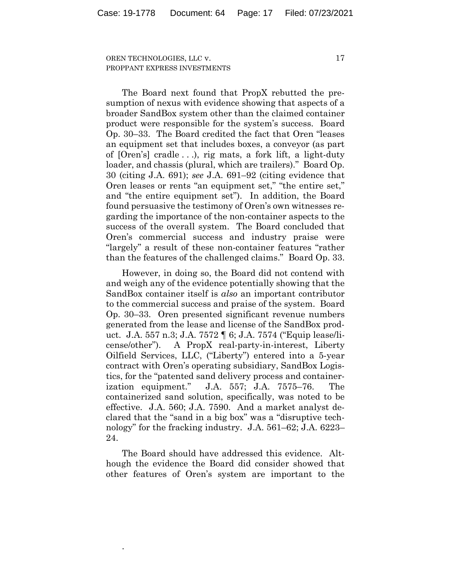The Board next found that PropX rebutted the presumption of nexus with evidence showing that aspects of a broader SandBox system other than the claimed container product were responsible for the system's success. Board Op. 30–33. The Board credited the fact that Oren "leases an equipment set that includes boxes, a conveyor (as part of [Oren's] cradle . . .), rig mats, a fork lift, a light-duty loader, and chassis (plural, which are trailers)." Board Op. 30 (citing J.A. 691); *see* J.A. 691–92 (citing evidence that Oren leases or rents "an equipment set," "the entire set," and "the entire equipment set"). In addition, the Board found persuasive the testimony of Oren's own witnesses regarding the importance of the non-container aspects to the success of the overall system. The Board concluded that Oren's commercial success and industry praise were "largely" a result of these non-container features "rather than the features of the challenged claims." Board Op. 33.

However, in doing so, the Board did not contend with and weigh any of the evidence potentially showing that the SandBox container itself is *also* an important contributor to the commercial success and praise of the system. Board Op. 30–33. Oren presented significant revenue numbers generated from the lease and license of the SandBox product. J.A. 557 n.3; J.A. 7572 ¶ 6; J.A. 7574 ("Equip lease/license/other"). A PropX real-party-in-interest, Liberty Oilfield Services, LLC, ("Liberty") entered into a 5-year contract with Oren's operating subsidiary, SandBox Logistics, for the "patented sand delivery process and containerization equipment." J.A. 557; J.A. 7575–76. The containerized sand solution, specifically, was noted to be effective. J.A. 560; J.A. 7590. And a market analyst declared that the "sand in a big box" was a "disruptive technology" for the fracking industry. J.A. 561–62; J.A. 6223– 24.

The Board should have addressed this evidence. Although the evidence the Board did consider showed that other features of Oren's system are important to the

.